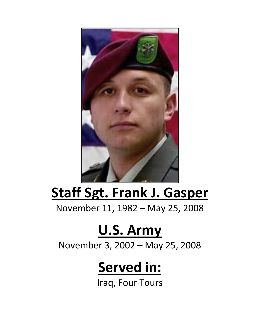

## **Staff Sgt. Frank J. Gasper**

November 11, 1982 – May 25, 2008

## **U.S. Army**

November 3, 2002 – May 25, 2008

## **Served in:**

Iraq, Four Tours